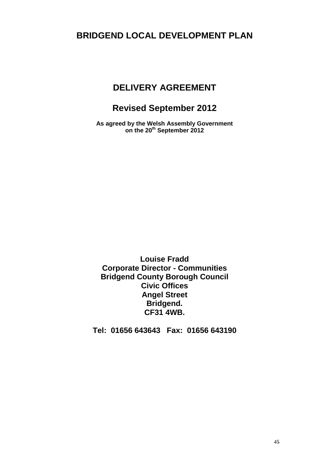# **BRIDGEND LOCAL DEVELOPMENT PLAN**

# **DELIVERY AGREEMENT**

# **Revised September 2012**

**As agreed by the Welsh Assembly Government on the 20th September 2012**

**Louise Fradd Corporate Director - Communities Bridgend County Borough Council Civic Offices Angel Street Bridgend. CF31 4WB.** 

**Tel: 01656 643643 Fax: 01656 643190**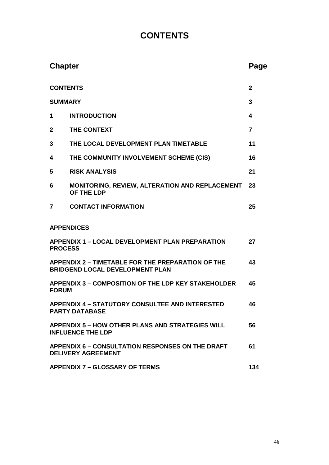# **CONTENTS**

| <b>Chapter</b>                                                                       |                                                                                                    | Page |  |
|--------------------------------------------------------------------------------------|----------------------------------------------------------------------------------------------------|------|--|
| <b>CONTENTS</b>                                                                      |                                                                                                    |      |  |
| <b>SUMMARY</b>                                                                       |                                                                                                    |      |  |
| 1                                                                                    | <b>INTRODUCTION</b>                                                                                | 4    |  |
| $\boldsymbol{2}$                                                                     | THE CONTEXT                                                                                        | 7    |  |
| 3                                                                                    | THE LOCAL DEVELOPMENT PLAN TIMETABLE                                                               | 11   |  |
| 4                                                                                    | THE COMMUNITY INVOLVEMENT SCHEME (CIS)                                                             | 16   |  |
| 5                                                                                    | <b>RISK ANALYSIS</b>                                                                               | 21   |  |
| 6                                                                                    | <b>MONITORING, REVIEW, ALTERATION AND REPLACEMENT</b><br>OF THE LDP                                | 23   |  |
| 7                                                                                    | <b>CONTACT INFORMATION</b>                                                                         | 25   |  |
|                                                                                      | <b>APPENDICES</b>                                                                                  |      |  |
| <b>PROCESS</b>                                                                       | <b>APPENDIX 1 - LOCAL DEVELOPMENT PLAN PREPARATION</b>                                             | 27   |  |
|                                                                                      | <b>APPENDIX 2 - TIMETABLE FOR THE PREPARATION OF THE</b><br><b>BRIDGEND LOCAL DEVELOPMENT PLAN</b> | 43   |  |
| <b>APPENDIX 3 - COMPOSITION OF THE LDP KEY STAKEHOLDER</b><br><b>FORUM</b>           |                                                                                                    |      |  |
|                                                                                      | <b>APPENDIX 4 - STATUTORY CONSULTEE AND INTERESTED</b><br><b>PARTY DATABASE</b>                    | 46   |  |
| <b>APPENDIX 5 - HOW OTHER PLANS AND STRATEGIES WILL</b><br><b>INFLUENCE THE LDP</b>  |                                                                                                    |      |  |
| <b>APPENDIX 6 - CONSULTATION RESPONSES ON THE DRAFT</b><br><b>DELIVERY AGREEMENT</b> |                                                                                                    |      |  |
| <b>APPENDIX 7 - GLOSSARY OF TERMS</b>                                                |                                                                                                    |      |  |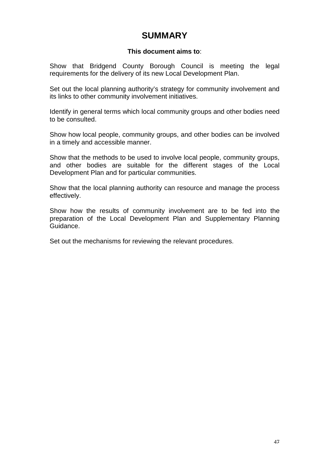# **SUMMARY**

# **This document aims to**:

Show that Bridgend County Borough Council is meeting the legal requirements for the delivery of its new Local Development Plan.

Set out the local planning authority's strategy for community involvement and its links to other community involvement initiatives.

Identify in general terms which local community groups and other bodies need to be consulted.

Show how local people, community groups, and other bodies can be involved in a timely and accessible manner.

Show that the methods to be used to involve local people, community groups, and other bodies are suitable for the different stages of the Local Development Plan and for particular communities.

Show that the local planning authority can resource and manage the process effectively.

Show how the results of community involvement are to be fed into the preparation of the Local Development Plan and Supplementary Planning Guidance.

Set out the mechanisms for reviewing the relevant procedures.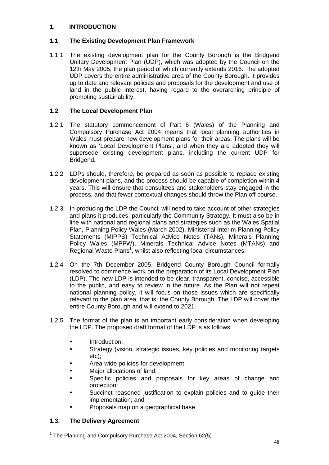# **1. INTRODUCTION**

# **1.1 The Existing Development Plan Framework**

1.1.1 The existing development plan for the County Borough is the Bridgend Unitary Development Plan (UDP), which was adopted by the Council on the 12th May 2005; the plan period of which currently extends 2016. The adopted UDP covers the entire administrative area of the County Borough. It provides up to date and relevant policies and proposals for the development and use of land in the public interest, having regard to the overarching principle of promoting sustainability.

# **1.2 The Local Development Plan**

- 1.2.1 The statutory commencement of Part 6 (Wales) of the Planning and Compulsory Purchase Act 2004 means that local planning authorities in Wales must prepare new development plans for their areas. The plans will be known as 'Local Development Plans', and when they are adopted they will supersede existing development plans, including the current UDP for Bridgend.
- 1.2.2 LDPs should, therefore, be prepared as soon as possible to replace existing development plans, and the process should be capable of completion within 4 years. This will ensure that consultees and stakeholders stay engaged in the process, and that fewer contextual changes should throw the Plan off course.
- 1.2.3 In producing the LDP the Council will need to take account of other strategies and plans it produces, particularly the Community Strategy. It must also be in line with national and regional plans and strategies such as the Wales Spatial Plan, Planning Policy Wales (March 2002), Ministerial Interim Planning Policy Statements (MIPPS) Technical Advice Notes (TANs), Minerals Planning Policy Wales (MPPW), Minerals Technical Advice Notes (MTANs) and Regional Waste Plans<sup>1</sup>, whilst also reflecting local circumstances.
- 1.2.4 On the 7th December 2005, Bridgend County Borough Council formally resolved to commence work on the preparation of its Local Development Plan (LDP). The new LDP is intended to be clear, transparent, concise, accessible to the public, and easy to review in the future. As the Plan will not repeat national planning policy, it will focus on those issues which are specifically relevant to the plan area, that is, the County Borough. The LDP will cover the entire County Borough and will extend to 2021.
- 1.2.5 The format of the plan is an important early consideration when developing the LDP. The proposed draft format of the LDP is as follows:
	- Introduction;
	- Strategy (vision, strategic issues, key policies and monitoring targets etc);
	- Area-wide policies for development;
	- Major allocations of land;
	- Specific policies and proposals for key areas of change and protection;
	- Succinct reasoned justification to explain policies and to guide their implementation; and
	- Proposals map on a geographical base.

# **1.3. The Delivery Agreement**

l

<sup>&</sup>lt;sup>1</sup> The Planning and Compulsory Purchase Act 2004, Section 62(5)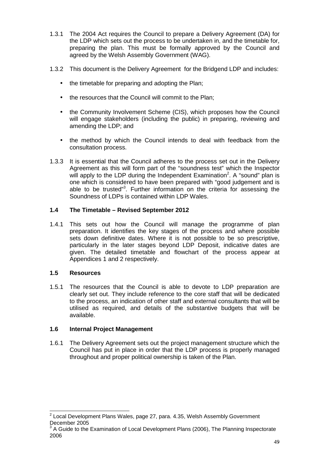- 1.3.1 The 2004 Act requires the Council to prepare a Delivery Agreement (DA) for the LDP which sets out the process to be undertaken in, and the timetable for, preparing the plan. This must be formally approved by the Council and agreed by the Welsh Assembly Government (WAG).
- 1.3.2 This document is the Delivery Agreement for the Bridgend LDP and includes:
	- the timetable for preparing and adopting the Plan;
	- the resources that the Council will commit to the Plan;
	- the Community Involvement Scheme (CIS), which proposes how the Council will engage stakeholders (including the public) in preparing, reviewing and amending the LDP; and
	- the method by which the Council intends to deal with feedback from the consultation process.
- 1.3.3 It is essential that the Council adheres to the process set out in the Delivery Agreement as this will form part of the "soundness test" which the Inspector will apply to the LDP during the Independent Examination<sup>2</sup>. A "sound" plan is one which is considered to have been prepared with "good judgement and is able to be trusted"<sup>3</sup>. Further information on the criteria for assessing the Soundness of LDPs is contained within LDP Wales.

# **1.4 The Timetable – Revised September 2012**

1.4.1 This sets out how the Council will manage the programme of plan preparation. It identifies the key stages of the process and where possible sets down definitive dates. Where it is not possible to be so prescriptive, particularly in the later stages beyond LDP Deposit, indicative dates are given. The detailed timetable and flowchart of the process appear at Appendices 1 and 2 respectively.

#### **1.5 Resources**

1.5.1 The resources that the Council is able to devote to LDP preparation are clearly set out. They include reference to the core staff that will be dedicated to the process, an indication of other staff and external consultants that will be utilised as required, and details of the substantive budgets that will be available.

#### **1.6 Internal Project Management**

1.6.1 The Delivery Agreement sets out the project management structure which the Council has put in place in order that the LDP process is properly managed throughout and proper political ownership is taken of the Plan.

 2 Local Development Plans Wales, page 27, para. 4.35, Welsh Assembly Government December 2005

 $3$  A Guide to the Examination of Local Development Plans (2006), The Planning Inspectorate 2006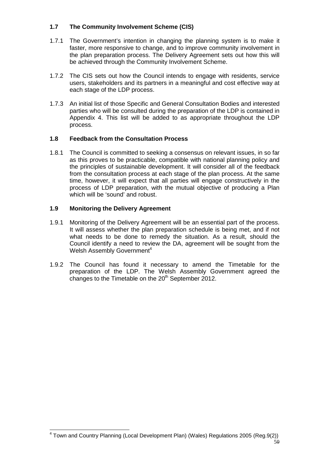# **1.7 The Community Involvement Scheme (CIS)**

- 1.7.1 The Government's intention in changing the planning system is to make it faster, more responsive to change, and to improve community involvement in the plan preparation process. The Delivery Agreement sets out how this will be achieved through the Community Involvement Scheme.
- 1.7.2 The CIS sets out how the Council intends to engage with residents, service users, stakeholders and its partners in a meaningful and cost effective way at each stage of the LDP process.
- 1.7.3 An initial list of those Specific and General Consultation Bodies and interested parties who will be consulted during the preparation of the LDP is contained in Appendix 4. This list will be added to as appropriate throughout the LDP process.

# **1.8 Feedback from the Consultation Process**

1.8.1 The Council is committed to seeking a consensus on relevant issues, in so far as this proves to be practicable, compatible with national planning policy and the principles of sustainable development. It will consider all of the feedback from the consultation process at each stage of the plan process. At the same time, however, it will expect that all parties will engage constructively in the process of LDP preparation, with the mutual objective of producing a Plan which will be 'sound' and robust.

# **1.9 Monitoring the Delivery Agreement**

- 1.9.1 Monitoring of the Delivery Agreement will be an essential part of the process. It will assess whether the plan preparation schedule is being met, and if not what needs to be done to remedy the situation. As a result, should the Council identify a need to review the DA, agreement will be sought from the Welsh Assembly Government<sup>4</sup>
- 1.9.2 The Council has found it necessary to amend the Timetable for the preparation of the LDP. The Welsh Assembly Government agreed the changes to the Timetable on the  $20<sup>th</sup>$  September 2012.

<sup>50</sup> 4 Town and Country Planning (Local Development Plan) (Wales) Regulations 2005 (Reg.9(2))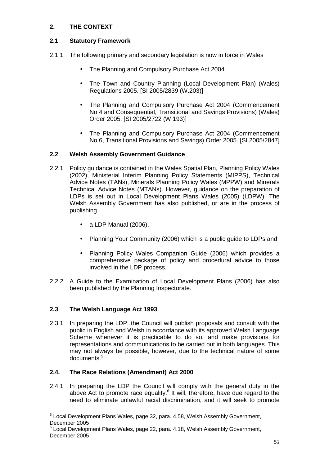# **2. THE CONTEXT**

# **2.1 Statutory Framework**

- 2.1.1 The following primary and secondary legislation is now in force in Wales
	- The Planning and Compulsory Purchase Act 2004.
	- The Town and Country Planning (Local Development Plan) (Wales) Regulations 2005. [SI 2005/2839 (W.203)]
	- The Planning and Compulsory Purchase Act 2004 (Commencement No 4 and Consequential, Transitional and Savings Provisions) (Wales) Order 2005. [SI 2005/2722 (W.193)]
	- The Planning and Compulsory Purchase Act 2004 (Commencement No.6, Transitional Provisions and Savings) Order 2005. [SI 2005/2847]

# **2.2 Welsh Assembly Government Guidance**

- 2.2.1 Policy guidance is contained in the Wales Spatial Plan, Planning Policy Wales (2002), Ministerial Interim Planning Policy Statements (MIPPS), Technical Advice Notes (TANs), Minerals Planning Policy Wales (MPPW) and Minerals Technical Advice Notes (MTANs). However, guidance on the preparation of LDPs is set out in Local Development Plans Wales (2005) (LDPW). The Welsh Assembly Government has also published, or are in the process of publishing
	- a LDP Manual  $(2006)$ ,
	- Planning Your Community (2006) which is a public quide to LDPs and
	- Planning Policy Wales Companion Guide (2006) which provides a comprehensive package of policy and procedural advice to those involved in the LDP process.
- 2.2.2 A Guide to the Examination of Local Development Plans (2006) has also been published by the Planning Inspectorate.

#### **2.3 The Welsh Language Act 1993**

2.3.1 In preparing the LDP, the Council will publish proposals and consult with the public in English and Welsh in accordance with its approved Welsh Language Scheme whenever it is practicable to do so, and make provisions for representations and communications to be carried out in both languages. This may not always be possible, however, due to the technical nature of some documents.<sup>5</sup>

#### **2.4. The Race Relations (Amendment) Act 2000**

2.4.1 In preparing the LDP the Council will comply with the general duty in the above Act to promote race equality. $6$  It will, therefore, have due regard to the need to eliminate unlawful racial discrimination, and it will seek to promote

 5 Local Development Plans Wales, page 32, para. 4.58, Welsh Assembly Government, December 2005

 $^6$  Local Development Plans Wales, page 22, para. 4.18, Welsh Assembly Government, December 2005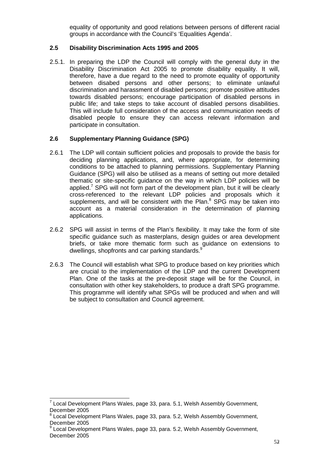equality of opportunity and good relations between persons of different racial groups in accordance with the Council's 'Equalities Agenda'.

#### **2.5 Disability Discrimination Acts 1995 and 2005**

2.5.1. In preparing the LDP the Council will comply with the general duty in the Disability Discrimination Act 2005 to promote disability equality. It will, therefore, have a due regard to the need to promote equality of opportunity between disabed persons and other persons; to eliminate unlawful discrimination and harassment of disabled persons; promote positive attitudes towards disabled persons; encourage participation of disabled persons in public life; and take steps to take account of disabled persons disabilities. This will include full consideration of the access and communication needs of disabled people to ensure they can access relevant information and participate in consultation.

# **2.6 Supplementary Planning Guidance (SPG)**

- 2.6.1 The LDP will contain sufficient policies and proposals to provide the basis for deciding planning applications, and, where appropriate, for determining conditions to be attached to planning permissions. Supplementary Planning Guidance (SPG) will also be utilised as a means of setting out more detailed thematic or site-specific guidance on the way in which LDP policies will be applied.<sup>7</sup> SPG will not form part of the development plan, but it will be clearly cross-referenced to the relevant LDP policies and proposals which it supplements, and will be consistent with the Plan. $8$  SPG may be taken into account as a material consideration in the determination of planning applications.
- 2.6.2 SPG will assist in terms of the Plan's flexibility. It may take the form of site specific guidance such as masterplans, design guides or area development briefs, or take more thematic form such as guidance on extensions to dwellings, shopfronts and car parking standards.<sup>9</sup>
- 2.6.3 The Council will establish what SPG to produce based on key priorities which are crucial to the implementation of the LDP and the current Development Plan. One of the tasks at the pre-deposit stage will be for the Council, in consultation with other key stakeholders, to produce a draft SPG programme. This programme will identify what SPGs will be produced and when and will be subject to consultation and Council agreement.

<sup>————————————————————&</sup>lt;br><sup>7</sup> Local Development Plans Wales, page 33, para. 5.1, Welsh Assembly Government, December 2005

<sup>&</sup>lt;sup>8</sup> Local Development Plans Wales, page 33, para. 5.2, Welsh Assembly Government, December 2005

<sup>&</sup>lt;sup>9</sup> Local Development Plans Wales, page 33, para. 5.2, Welsh Assembly Government, December 2005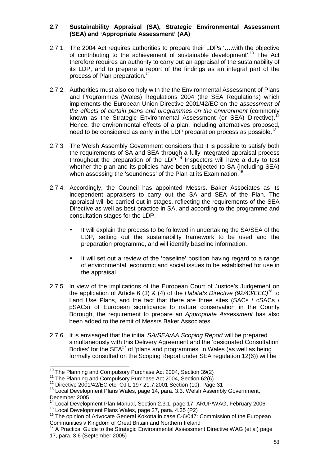# **2.7 Sustainability Appraisal (SA), Strategic Environmental Assessment (SEA) and 'Appropriate Assessment' (AA)**

- 2.7.1. The 2004 Act requires authorities to prepare their LDPs '….with the objective of contributing to the achievement of sustainable development'.<sup>10</sup> The Act therefore requires an authority to carry out an appraisal of the sustainability of its LDP, and to prepare a report of the findings as an integral part of the process of Plan preparation.<sup>11</sup>
- 2.7.2. Authorities must also comply with the the Environmental Assessment of Plans and Programmes (Wales) Regulations 2004 (the SEA Regulations) which implements the European Union Directive 2001/42/EC on the assessment of the effects of certain plans and programmes on the environment (commonly known as the Strategic Environmental Assessment (or SEA) Directive).<sup>12</sup> Hence, the environmental effects of a plan, including alternatives proposed, need to be considered as early in the LDP preparation process as possible.<sup>13</sup>
- 2.7.3 The Welsh Assembly Government considers that it is possible to satisfy both the requirements of SA and SEA through a fully integrated appraisal process throughout the preparation of the LDP.<sup>14</sup> Inspectors will have a duty to test whether the plan and its policies have been subjected to SA (including SEA) when assessing the 'soundness' of the Plan at its Examination.<sup>15</sup>
- 2.7.4. Accordingly, the Council has appointed Messrs. Baker Associates as its independent appraisers to carry out the SA and SEA of the Plan. The appraisal will be carried out in stages, reflecting the requirements of the SEA Directive as well as best practice in SA, and according to the programme and consultation stages for the LDP.
	- It will explain the process to be followed in undertaking the SA/SEA of the LDP, setting out the sustainability framework to be used and the preparation programme, and will identify baseline information.
	- It will set out a review of the 'baseline' position having regard to a range of environmental, economic and social issues to be established for use in the appraisal.
- 2.7.5. In view of the implications of the European Court of Justice's Judgement on the application of Article 6 (3) & (4) of the Habitats Directive (92/43/EEC)<sup>16</sup> to Land Use Plans, and the fact that there are three sites (SACs / cSACs / pSACs) of European significance to nature conservation in the County Borough, the requirement to prepare an Appropriate Assessment has also been added to the remit of Messrs Baker Associates.
- 2.7.6 It is envisaged that the initial SA/SEA/AA Scoping Report will be prepared simultaneously with this Delivery Agreement and the 'designated Consultation Bodies' for the  $SEA^{17}$  of 'plans and programmes' in Wales (as well as being formally consulted on the Scoping Report under SEA regulation 12(6)) will be

 $\overline{a}$ 

 $10$  The Planning and Compulsory Purchase Act 2004, Section 39(2)

<sup>&</sup>lt;sup>11</sup> The Planning and Compulsory Purchase Act 2004, Section 62(6)

<sup>12</sup> Directive 2001/42/EC etc. OJ L 197 21.7.2001 Section (10), Page 31

<sup>&</sup>lt;sup>13</sup> Local Development Plans Wales, page 14, para. 3.3., Welsh Assembly Government, December 2005

Local Development Plan Manual, Section 2.3.1, page 17, ARUP/WAG, February 2006

<sup>15</sup> Local Development Plans Wales, page 27, para. 4.35 (P2)

<sup>&</sup>lt;sup>16</sup> The opinion of Advocate General Kokotta in case C-6/047: Commission of the European Communities v Kingdom of Great Britain and Northern Ireland

<sup>&</sup>lt;sup>17</sup> A Practical Guide to the Strategic Environmental Assessment Directive WAG (et al) page 17, para. 3.6 (September 2005)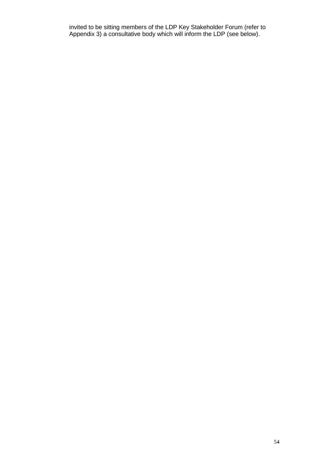invited to be sitting members of the LDP Key Stakeholder Forum (refer to Appendix 3) a consultative body which will inform the LDP (see below).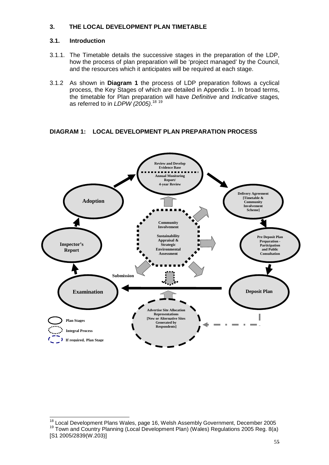# **3. THE LOCAL DEVELOPMENT PLAN TIMETABLE**

## **3.1. Introduction**

 $\overline{a}$ 

- 3.1.1. The Timetable details the successive stages in the preparation of the LDP, how the process of plan preparation will be 'project managed' by the Council, and the resources which it anticipates will be required at each stage.
- 3.1.2 As shown in **Diagram 1** the process of LDP preparation follows a cyclical process, the Key Stages of which are detailed in Appendix 1. In broad terms, the timetable for Plan preparation will have Definitive and Indicative stages, as referred to in *LDPW (2005)*.<sup>18 19</sup>

# **DIAGRAM 1: LOCAL DEVELOPMENT PLAN PREPARATION PROCESS**



 $18$  Local Development Plans Wales, page 16, Welsh Assembly Government, December 2005 <sup>19</sup> Town and Country Planning (Local Development Plan) (Wales) Regulations 2005 Reg. 8(a) [S1 2005/2839(W.203)]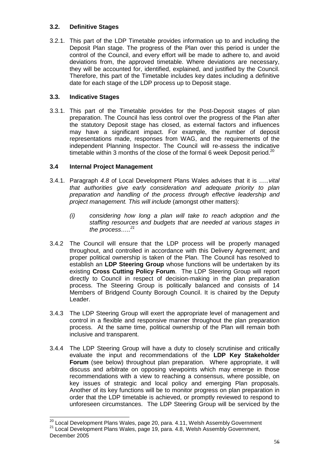# **3.2. Definitive Stages**

3.2.1. This part of the LDP Timetable provides information up to and including the Deposit Plan stage. The progress of the Plan over this period is under the control of the Council, and every effort will be made to adhere to, and avoid deviations from, the approved timetable. Where deviations are necessary, they will be accounted for, identified, explained, and justified by the Council. Therefore, this part of the Timetable includes key dates including a definitive date for each stage of the LDP process up to Deposit stage.

# **3.3. Indicative Stages**

l

3.3.1. This part of the Timetable provides for the Post-Deposit stages of plan preparation. The Council has less control over the progress of the Plan after the statutory Deposit stage has closed, as external factors and influences may have a significant impact. For example, the number of deposit representations made, responses from WAG, and the requirements of the independent Planning Inspector. The Council will re-assess the indicative timetable within 3 months of the close of the formal 6 week Deposit period.<sup>20</sup>

# **3.4 Internal Project Management**

- 3.4.1. Paragraph 4.8 of Local Development Plans Wales advises that it is …..vital that authorities give early consideration and adequate priority to plan preparation and handling of the process through effective leadership and project management. This will include (amongst other matters):
	- (i) considering how long a plan will take to reach adoption and the staffing resources and budgets that are needed at various stages in the process.....<sup>21</sup>
- 3.4.2 The Council will ensure that the LDP process will be properly managed throughout, and controlled in accordance with this Delivery Agreement; and proper political ownership is taken of the Plan. The Council has resolved to establish an **LDP Steering Group** whose functions will be undertaken by its existing **Cross Cutting Policy Forum**. The LDP Steering Group will report directly to Council in respect of decision-making in the plan preparation process. The Steering Group is politically balanced and consists of 14 Members of Bridgend County Borough Council. It is chaired by the Deputy Leader.
- 3.4.3 The LDP Steering Group will exert the appropriate level of management and control in a flexible and responsive manner throughout the plan preparation process. At the same time, political ownership of the Plan will remain both inclusive and transparent.
- 3.4.4 The LDP Steering Group will have a duty to closely scrutinise and critically evaluate the input and recommendations of the **LDP Key Stakeholder Forum** (see below) throughout plan preparation. Where appropriate, it will discuss and arbitrate on opposing viewpoints which may emerge in those recommendations with a view to reaching a consensus, where possible, on key issues of strategic and local policy and emerging Plan proposals. Another of its key functions will be to monitor progress on plan preparation in order that the LDP timetable is achieved, or promptly reviewed to respond to unforeseen circumstances. The LDP Steering Group will be serviced by the

 $^{20}$  Local Development Plans Wales, page 20, para. 4.11, Welsh Assembly Government <sup>21</sup> Local Development Plans Wales, page 19, para. 4.8, Welsh Assembly Government, December 2005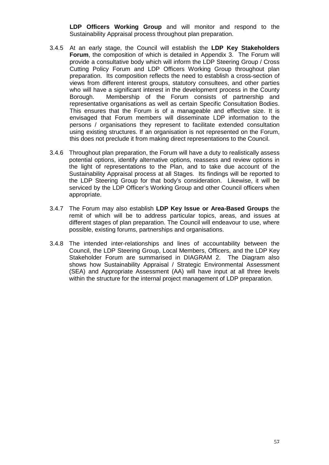**LDP Officers Working Group** and will monitor and respond to the Sustainability Appraisal process throughout plan preparation.

- 3.4.5 At an early stage, the Council will establish the **LDP Key Stakeholders Forum**, the composition of which is detailed in Appendix 3. The Forum will provide a consultative body which will inform the LDP Steering Group / Cross Cutting Policy Forum and LDP Officers Working Group throughout plan preparation. Its composition reflects the need to establish a cross-section of views from different interest groups, statutory consultees, and other parties who will have a significant interest in the development process in the County Borough. Membership of the Forum consists of partnership and representative organisations as well as certain Specific Consultation Bodies. This ensures that the Forum is of a manageable and effective size. It is envisaged that Forum members will disseminate LDP information to the persons / organisations they represent to facilitate extended consultation using existing structures. If an organisation is not represented on the Forum, this does not preclude it from making direct representations to the Council.
- 3.4.6 Throughout plan preparation, the Forum will have a duty to realistically assess potential options, identify alternative options, reassess and review options in the light of representations to the Plan, and to take due account of the Sustainability Appraisal process at all Stages. Its findings will be reported to the LDP Steering Group for that body's consideration. Likewise, it will be serviced by the LDP Officer's Working Group and other Council officers when appropriate.
- 3.4.7 The Forum may also establish **LDP Key Issue or Area-Based Groups** the remit of which will be to address particular topics, areas, and issues at different stages of plan preparation. The Council will endeavour to use, where possible, existing forums, partnerships and organisations.
- 3.4.8 The intended inter-relationships and lines of accountability between the Council, the LDP Steering Group, Local Members, Officers, and the LDP Key Stakeholder Forum are summarised in DIAGRAM 2. The Diagram also shows how Sustainability Appraisal / Strategic Environmental Assessment (SEA) and Appropriate Assessment (AA) will have input at all three levels within the structure for the internal project management of LDP preparation.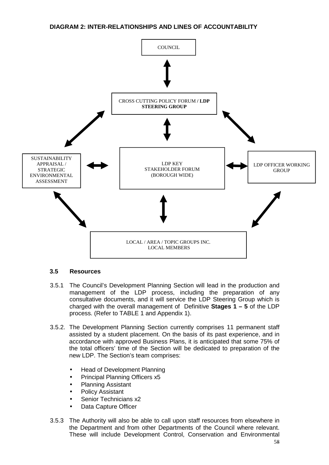# **DIAGRAM 2: INTER-RELATIONSHIPS AND LINES OF ACCOUNTABILITY**



#### **3.5 Resources**

- 3.5.1 The Council's Development Planning Section will lead in the production and management of the LDP process, including the preparation of any consultative documents, and it will service the LDP Steering Group which is charged with the overall management of Definitive **Stages 1 – 5** of the LDP process. (Refer to TABLE 1 and Appendix 1).
- 3.5.2. The Development Planning Section currently comprises 11 permanent staff assisted by a student placement. On the basis of its past experience, and in accordance with approved Business Plans, it is anticipated that some 75% of the total officers' time of the Section will be dedicated to preparation of the new LDP. The Section's team comprises:
	- Head of Development Planning
	- Principal Planning Officers x5
	- Planning Assistant
	- Policy Assistant
	- Senior Technicians x2
	- Data Capture Officer
- 3.5.3 The Authority will also be able to call upon staff resources from elsewhere in the Department and from other Departments of the Council where relevant. These will include Development Control, Conservation and Environmental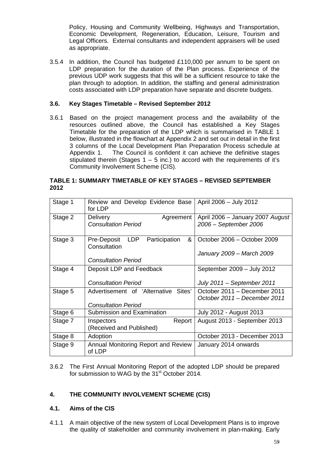Policy, Housing and Community Wellbeing, Highways and Transportation, Economic Development, Regeneration, Education, Leisure, Tourism and Legal Officers. External consultants and independent appraisers will be used as appropriate.

3.5.4 In addition, the Council has budgeted £110,000 per annum to be spent on LDP preparation for the duration of the Plan process. Experience of the previous UDP work suggests that this will be a sufficient resource to take the plan through to adoption. In addition, the staffing and general administration costs associated with LDP preparation have separate and discrete budgets.

## **3.6. Key Stages Timetable – Revised September 2012**

3.6.1 Based on the project management process and the availability of the resources outlined above, the Council has established a Key Stages Timetable for the preparation of the LDP which is summarised in TABLE 1 below, illustrated in the flowchart at Appendix 2 and set out in detail in the first 3 columns of the Local Development Plan Preparation Process schedule at Appendix 1. The Council is confident it can achieve the definitive stages stipulated therein (Stages  $1 - 5$  inc.) to accord with the requirements of it's Community Involvement Scheme (CIS).

## **TABLE 1: SUMMARY TIMETABLE OF KEY STAGES – REVISED SEPTEMBER 2012**

| Stage 1 | Review and Develop Evidence Base<br>for LDP                     | April 2006 - July 2012                                       |
|---------|-----------------------------------------------------------------|--------------------------------------------------------------|
| Stage 2 | Agreement<br><b>Delivery</b><br><b>Consultation Period</b>      | April 2006 - January 2007 August<br>2006 - September 2006    |
| Stage 3 | Participation<br>Pre-Deposit<br><b>LDP</b><br>&<br>Consultation | October 2006 - October 2009<br>January 2009 - March 2009     |
|         | <b>Consultation Period</b>                                      |                                                              |
| Stage 4 | Deposit LDP and Feedback                                        | September 2009 - July 2012                                   |
|         | <b>Consultation Period</b>                                      | July 2011 – September 2011                                   |
| Stage 5 | Advertisement of 'Alternative<br>Sites'                         | October 2011 - December 2011<br>October 2011 – December 2011 |
|         | <b>Consultation Period</b>                                      |                                                              |
| Stage 6 | Submission and Examination                                      | July 2012 - August 2013                                      |
| Stage 7 | Report<br>Inspectors<br>(Received and Published)                | August 2013 - September 2013                                 |
| Stage 8 | Adoption                                                        | October 2013 - December 2013                                 |
| Stage 9 | Annual Monitoring Report and Review<br>of LDP                   | January 2014 onwards                                         |

3.6.2 The First Annual Monitoring Report of the adopted LDP should be prepared for submission to WAG by the 31<sup>st</sup> October 2014.

# **4. THE COMMUNITY INVOLVEMENT SCHEME (CIS)**

#### **4.1. Aims of the CIS**

4.1.1 A main objective of the new system of Local Development Plans is to improve the quality of stakeholder and community involvement in plan-making. Early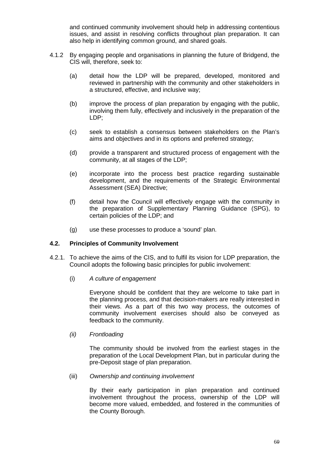and continued community involvement should help in addressing contentious issues, and assist in resolving conflicts throughout plan preparation. It can also help in identifying common ground, and shared goals.

- 4.1.2 By engaging people and organisations in planning the future of Bridgend, the CIS will, therefore, seek to:
	- (a) detail how the LDP will be prepared, developed, monitored and reviewed in partnership with the community and other stakeholders in a structured, effective, and inclusive way;
	- (b) improve the process of plan preparation by engaging with the public, involving them fully, effectively and inclusively in the preparation of the LDP;
	- (c) seek to establish a consensus between stakeholders on the Plan's aims and objectives and in its options and preferred strategy;
	- (d) provide a transparent and structured process of engagement with the community, at all stages of the LDP;
	- (e) incorporate into the process best practice regarding sustainable development, and the requirements of the Strategic Environmental Assessment (SEA) Directive;
	- (f) detail how the Council will effectively engage with the community in the preparation of Supplementary Planning Guidance (SPG), to certain policies of the LDP; and
	- (g) use these processes to produce a 'sound' plan.

#### **4.2. Principles of Community Involvement**

- 4.2.1. To achieve the aims of the CIS, and to fulfil its vision for LDP preparation, the Council adopts the following basic principles for public involvement:
	- (i) A culture of engagement

Everyone should be confident that they are welcome to take part in the planning process, and that decision-makers are really interested in their views. As a part of this two way process, the outcomes of community involvement exercises should also be conveyed as feedback to the community.

(ii) Frontloading

The community should be involved from the earliest stages in the preparation of the Local Development Plan, but in particular during the pre-Deposit stage of plan preparation.

(iii) Ownership and continuing involvement

By their early participation in plan preparation and continued involvement throughout the process, ownership of the LDP will become more valued, embedded, and fostered in the communities of the County Borough.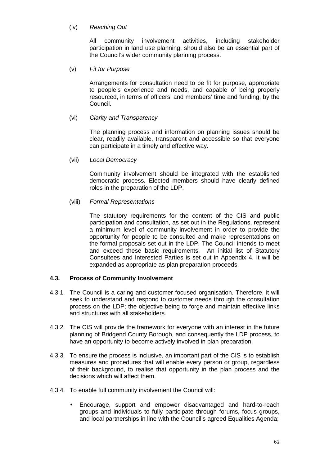### (iv) Reaching Out

All community involvement activities, including stakeholder participation in land use planning, should also be an essential part of the Council's wider community planning process.

(v) Fit for Purpose

Arrangements for consultation need to be fit for purpose, appropriate to people's experience and needs, and capable of being properly resourced, in terms of officers' and members' time and funding, by the Council.

(vi) Clarity and Transparency

The planning process and information on planning issues should be clear, readily available, transparent and accessible so that everyone can participate in a timely and effective way.

(vii) Local Democracy

Community involvement should be integrated with the established democratic process. Elected members should have clearly defined roles in the preparation of the LDP.

(viii) Formal Representations

The statutory requirements for the content of the CIS and public participation and consultation, as set out in the Regulations, represent a minimum level of community involvement in order to provide the opportunity for people to be consulted and make representations on the formal proposals set out in the LDP. The Council intends to meet and exceed these basic requirements. An initial list of Statutory Consultees and Interested Parties is set out in Appendix 4. It will be expanded as appropriate as plan preparation proceeds.

#### **4.3. Process of Community Involvement**

- 4.3.1. The Council is a caring and customer focused organisation. Therefore, it will seek to understand and respond to customer needs through the consultation process on the LDP; the objective being to forge and maintain effective links and structures with all stakeholders.
- 4.3.2. The CIS will provide the framework for everyone with an interest in the future planning of Bridgend County Borough, and consequently the LDP process, to have an opportunity to become actively involved in plan preparation.
- 4.3.3. To ensure the process is inclusive, an important part of the CIS is to establish measures and procedures that will enable every person or group, regardless of their background, to realise that opportunity in the plan process and the decisions which will affect them.
- 4.3.4. To enable full community involvement the Council will:
	- Encourage, support and empower disadvantaged and hard-to-reach groups and individuals to fully participate through forums, focus groups, and local partnerships in line with the Council's agreed Equalities Agenda;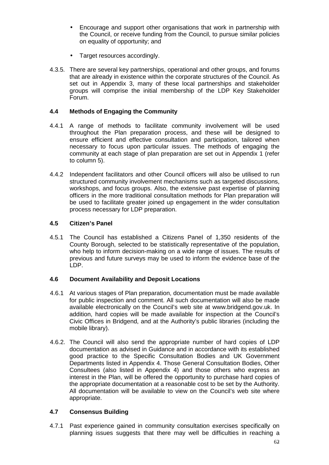- Encourage and support other organisations that work in partnership with the Council, or receive funding from the Council, to pursue similar policies on equality of opportunity; and
- Target resources accordingly.
- 4.3.5. There are several key partnerships, operational and other groups, and forums that are already in existence within the corporate structures of the Council. As set out in Appendix 3, many of these local partnerships and stakeholder groups will comprise the initial membership of the LDP Key Stakeholder Forum.

## **4.4 Methods of Engaging the Community**

- 4.4.1 A range of methods to facilitate community involvement will be used throughout the Plan preparation process, and these will be designed to ensure efficient and effective consultation and participation, tailored when necessary to focus upon particular issues. The methods of engaging the community at each stage of plan preparation are set out in Appendix 1 (refer to column 5).
- 4.4.2 Independent facilitators and other Council officers will also be utilised to run structured community involvement mechanisms such as targeted discussions, workshops, and focus groups. Also, the extensive past expertise of planning officers in the more traditional consultation methods for Plan preparation will be used to facilitate greater joined up engagement in the wider consultation process necessary for LDP preparation.

#### **4.5 Citizen's Panel**

4.5.1 The Council has established a Citizens Panel of 1,350 residents of the County Borough, selected to be statistically representative of the population, who help to inform decision-making on a wide range of issues. The results of previous and future surveys may be used to inform the evidence base of the LDP.

#### **4.6 Document Availability and Deposit Locations**

- 4.6.1 At various stages of Plan preparation, documentation must be made available for public inspection and comment. All such documentation will also be made available electronically on the Council's web site at www.bridgend.gov.uk. In addition, hard copies will be made available for inspection at the Council's Civic Offices in Bridgend, and at the Authority's public libraries (including the mobile library).
- 4.6.2. The Council will also send the appropriate number of hard copies of LDP documentation as advised in Guidance and in accordance with its established good practice to the Specific Consultation Bodies and UK Government Departments listed in Appendix 4. Those General Consultation Bodies, Other Consultees (also listed in Appendix 4) and those others who express an interest in the Plan, will be offered the opportunity to purchase hard copies of the appropriate documentation at a reasonable cost to be set by the Authority. All documentation will be available to view on the Council's web site where appropriate.

# **4.7 Consensus Building**

4.7.1 Past experience gained in community consultation exercises specifically on planning issues suggests that there may well be difficulties in reaching a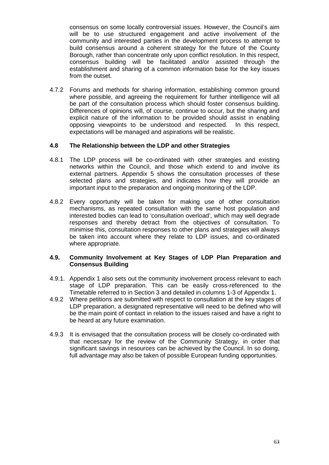consensus on some locally controversial issues. However, the Council's aim will be to use structured engagement and active involvement of the community and interested parties in the development process to attempt to build consensus around a coherent strategy for the future of the County Borough, rather than concentrate only upon conflict resolution. In this respect, consensus building will be facilitated and/or assisted through the establishment and sharing of a common information base for the key issues from the outset.

4.7.2 Forums and methods for sharing information, establishing common ground where possible, and agreeing the requirement for further intelligence will all be part of the consultation process which should foster consensus building. Differences of opinions will, of course, continue to occur, but the sharing and explicit nature of the information to be provided should assist in enabling opposing viewpoints to be understood and respected. In this respect, expectations will be managed and aspirations will be realistic.

#### **4.8 The Relationship between the LDP and other Strategies**

- 4.8.1 The LDP process will be co-ordinated with other strategies and existing networks within the Council, and those which extend to and involve its external partners. Appendix 5 shows the consultation processes of these selected plans and strategies, and indicates how they will provide an important input to the preparation and ongoing monitoring of the LDP.
- 4.8.2 Every opportunity will be taken for making use of other consultation mechanisms, as repeated consultation with the same host population and interested bodies can lead to 'consultation overload', which may well degrade responses and thereby detract from the objectives of consultation. To minimise this, consultation responses to other plans and strategies will always be taken into account where they relate to LDP issues, and co-ordinated where appropriate.

#### **4.9. Community Involvement at Key Stages of LDP Plan Preparation and Consensus Building**

- 4.9.1. Appendix 1 also sets out the community involvement process relevant to each stage of LDP preparation. This can be easily cross-referenced to the Timetable referred to in Section 3 and detailed in columns 1-3 of Appendix 1.
- 4.9.2 Where petitions are submitted with respect to consultation at the key stages of LDP preparation, a designated representative will need to be defined who will be the main point of contact in relation to the issues raised and have a right to be heard at any future examination.
- 4.9.3 It is envisaged that the consultation process will be closely co-ordinated with that necessary for the review of the Community Strategy, in order that significant savings in resources can be achieved by the Council. In so doing, full advantage may also be taken of possible European funding opportunities.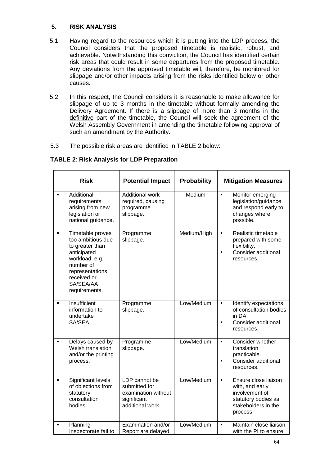# **5. RISK ANALYSIS**

- 5.1 Having regard to the resources which it is putting into the LDP process, the Council considers that the proposed timetable is realistic, robust, and achievable. Notwithstanding this conviction, the Council has identified certain risk areas that could result in some departures from the proposed timetable. Any deviations from the approved timetable will, therefore, be monitored for slippage and/or other impacts arising from the risks identified below or other causes.
- 5.2 In this respect, the Council considers it is reasonable to make allowance for slippage of up to 3 months in the timetable without formally amending the Delivery Agreement. If there is a slippage of more than 3 months in the definitive part of the timetable, the Council will seek the agreement of the Welsh Assembly Government in amending the timetable following approval of such an amendment by the Authority.
- 5.3 The possible risk areas are identified in TABLE 2 below:

| <b>TABLE 2: Risk Analysis for LDP Preparation</b> |  |  |
|---------------------------------------------------|--|--|
|---------------------------------------------------|--|--|

| <b>Risk</b>    |                                                                                                                                                                        | <b>Potential Impact</b>                                                                  | <b>Probability</b> | <b>Mitigation Measures</b>                                                                                                            |  |
|----------------|------------------------------------------------------------------------------------------------------------------------------------------------------------------------|------------------------------------------------------------------------------------------|--------------------|---------------------------------------------------------------------------------------------------------------------------------------|--|
| $\blacksquare$ | Additional<br>requirements<br>arising from new<br>legislation or<br>national guidance.                                                                                 | <b>Additional work</b><br>required, causing<br>programme<br>slippage.                    | Medium             | $\blacksquare$<br>Monitor emerging<br>legislation/guidance<br>and respond early to<br>changes where<br>possible.                      |  |
| $\blacksquare$ | Timetable proves<br>too ambitious due<br>to greater than<br>anticipated<br>workload, e.g.<br>number of<br>representations<br>received or<br>SA/SEA/AA<br>requirements. | Programme<br>slippage.                                                                   | Medium/High        | Realistic timetable<br>$\blacksquare$<br>prepared with some<br>flexibility.<br>Consider additional<br>$\blacksquare$<br>resources.    |  |
| $\blacksquare$ | Insufficient<br>information to<br>undertake<br>SA/SEA.                                                                                                                 | Programme<br>slippage.                                                                   | Low/Medium         | Identify expectations<br>$\blacksquare$<br>of consultation bodies<br>in DA.<br>Consider additional<br>٠<br>resources.                 |  |
| ٠              | Delays caused by<br>Welsh translation<br>and/or the printing<br>process.                                                                                               | Programme<br>slippage.                                                                   | Low/Medium         | Consider whether<br>$\blacksquare$<br>translation<br>practicable.<br>Consider additional<br>$\blacksquare$<br>resources.              |  |
| ٠              | Significant levels<br>of objections from<br>statutory<br>consultation<br>bodies.                                                                                       | LDP cannot be<br>submitted for<br>examination without<br>significant<br>additional work. | Low/Medium         | Ensure close liaison<br>$\blacksquare$<br>with, and early<br>involvement of<br>statutory bodies as<br>stakeholders in the<br>process. |  |
| $\blacksquare$ | Planning<br>Inspectorate fail to                                                                                                                                       | Examination and/or<br>Report are delayed.                                                | Low/Medium         | Maintain close liaison<br>$\blacksquare$<br>with the PI to ensure                                                                     |  |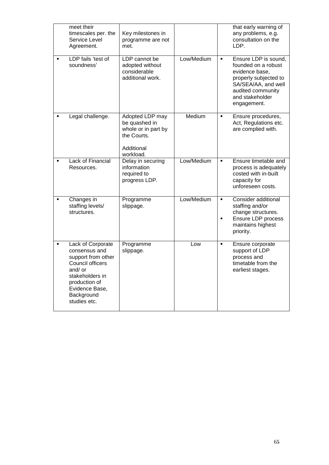|                | meet their<br>timescales per. the<br>Service Level<br>Agreement.                                                                                                            | Key milestones in<br>programme are not<br>met.                                                    |            |                                  | that early warning of<br>any problems, e.g.<br>consultation on the<br>LDP.                                                                                           |
|----------------|-----------------------------------------------------------------------------------------------------------------------------------------------------------------------------|---------------------------------------------------------------------------------------------------|------------|----------------------------------|----------------------------------------------------------------------------------------------------------------------------------------------------------------------|
|                | LDP fails 'test of<br>soundness'                                                                                                                                            | LDP cannot be<br>adopted without<br>considerable<br>additional work.                              | Low/Medium | $\blacksquare$                   | Ensure LDP is sound,<br>founded on a robust<br>evidence base.<br>properly subjected to<br>SA/SEA/AA, and well<br>audited community<br>and stakeholder<br>engagement. |
| ٠              | Legal challenge.                                                                                                                                                            | Adopted LDP may<br>be quashed in<br>whole or in part by<br>the Courts.<br>Additional<br>workload. | Medium     | $\blacksquare$                   | Ensure procedures,<br>Act, Regulations etc.<br>are complied with.                                                                                                    |
|                | <b>Lack of Financial</b><br>Resources.                                                                                                                                      | Delay in securing<br>information<br>required to<br>progress LDP.                                  | Low/Medium | $\blacksquare$                   | Ensure timetable and<br>process is adequately<br>costed with in-built<br>capacity for<br>unforeseen costs.                                                           |
|                | Changes in<br>staffing levels/<br>structures.                                                                                                                               | Programme<br>slippage.                                                                            | Low/Medium | $\blacksquare$<br>$\blacksquare$ | Consider additional<br>staffing and/or<br>change structures.<br>Ensure LDP process<br>maintains highest<br>priority.                                                 |
| $\blacksquare$ | Lack of Corporate<br>consensus and<br>support from other<br>Council officers<br>and/ or<br>stakeholders in<br>production of<br>Evidence Base,<br>Background<br>studies etc. | Programme<br>slippage.                                                                            | Low        | $\blacksquare$                   | Ensure corporate<br>support of LDP<br>process and<br>timetable from the<br>earliest stages.                                                                          |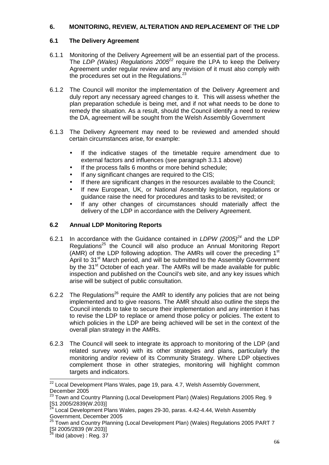# **6. MONITORING, REVIEW, ALTERATION AND REPLACEMENT OF THE LDP**

# **6.1 The Delivery Agreement**

- 6.1.1 Monitoring of the Delivery Agreement will be an essential part of the process. The LDP (Wales) Regulations 2005<sup>22</sup> require the LPA to keep the Delivery Agreement under regular review and any revision of it must also comply with the procedures set out in the Regulations. $^{23}$
- 6.1.2 The Council will monitor the implementation of the Delivery Agreement and duly report any necessary agreed changes to it. This will assess whether the plan preparation schedule is being met, and if not what needs to be done to remedy the situation. As a result, should the Council identify a need to review the DA, agreement will be sought from the Welsh Assembly Government
- 6.1.3 The Delivery Agreement may need to be reviewed and amended should certain circumstances arise, for example:
	- If the indicative stages of the timetable require amendment due to external factors and influences (see paragraph 3.3.1 above)
	- If the process falls 6 months or more behind schedule:
	- If any significant changes are required to the CIS:
	- If there are significant changes in the resources available to the Council:
	- If new European, UK, or National Assembly legislation, regulations or guidance raise the need for procedures and tasks to be revisited; or
	- If any other changes of circumstances should materially affect the delivery of the LDP in accordance with the Delivery Agreement.

# **6.2 Annual LDP Monitoring Reports**

- 6.2.1 In accordance with the Guidance contained in LDPW (2005)<sup>24</sup> and the LDP Regulations<sup>25</sup> the Council will also produce an Annual Monitoring Report (AMR) of the LDP following adoption. The AMRs will cover the preceding 1<sup>st</sup> April to 31<sup>st</sup> March period, and will be submitted to the Assembly Government by the 31<sup>st</sup> October of each year. The AMRs will be made available for public inspection and published on the Council's web site, and any key issues which arise will be subject of public consultation.
- 6.2.2 The Requiations<sup>26</sup> require the AMR to identify any policies that are not being implemented and to give reasons. The AMR should also outline the steps the Council intends to take to secure their implementation and any intention it has to revise the LDP to replace or amend those policy or policies. The extent to which policies in the LDP are being achieved will be set in the context of the overall plan strategy in the AMRs.
- 6.2.3 The Council will seek to integrate its approach to monitoring of the LDP (and related survey work) with its other strategies and plans, particularly the monitoring and/or review of its Community Strategy. Where LDP objectives complement those in other strategies, monitoring will highlight common targets and indicators.

l

 $^{22}$  Local Development Plans Wales, page 19, para. 4.7, Welsh Assembly Government, December 2005

 $^{23}$  Town and Country Planning (Local Development Plan) (Wales) Regulations 2005 Reg. 9  $\begin{bmatrix} 51 & 2005/2839(W.203) \\ 24 & 2005 \end{bmatrix}$ 

 $^4$  Local Development Plans Wales, pages 29-30, paras, 4.42-4.44, Welsh Assembly Government, December 2005

<sup>25</sup> Town and Country Planning (Local Development Plan) (Wales) Regulations 2005 PART 7 [SI 2005/2839 (W.203)]

 $^{26}$  Ibid (above) : Reg. 37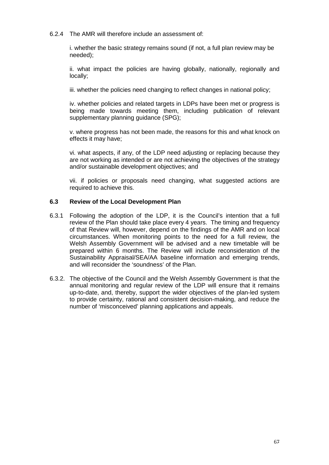6.2.4 The AMR will therefore include an assessment of:

i. whether the basic strategy remains sound (if not, a full plan review may be needed);

ii. what impact the policies are having globally, nationally, regionally and locally;

iii. whether the policies need changing to reflect changes in national policy;

iv. whether policies and related targets in LDPs have been met or progress is being made towards meeting them, including publication of relevant supplementary planning guidance (SPG);

v. where progress has not been made, the reasons for this and what knock on effects it may have;

vi. what aspects, if any, of the LDP need adjusting or replacing because they are not working as intended or are not achieving the objectives of the strategy and/or sustainable development objectives; and

vii. if policies or proposals need changing, what suggested actions are required to achieve this.

#### **6.3 Review of the Local Development Plan**

- 6.3.1 Following the adoption of the LDP, it is the Council's intention that a full review of the Plan should take place every 4 years. The timing and frequency of that Review will, however, depend on the findings of the AMR and on local circumstances. When monitoring points to the need for a full review, the Welsh Assembly Government will be advised and a new timetable will be prepared within 6 months. The Review will include reconsideration of the Sustainability Appraisal/SEA/AA baseline information and emerging trends, and will reconsider the 'soundness' of the Plan.
- 6.3.2. The objective of the Council and the Welsh Assembly Government is that the annual monitoring and regular review of the LDP will ensure that it remains up-to-date, and, thereby, support the wider objectives of the plan-led system to provide certainty, rational and consistent decision-making, and reduce the number of 'misconceived' planning applications and appeals.